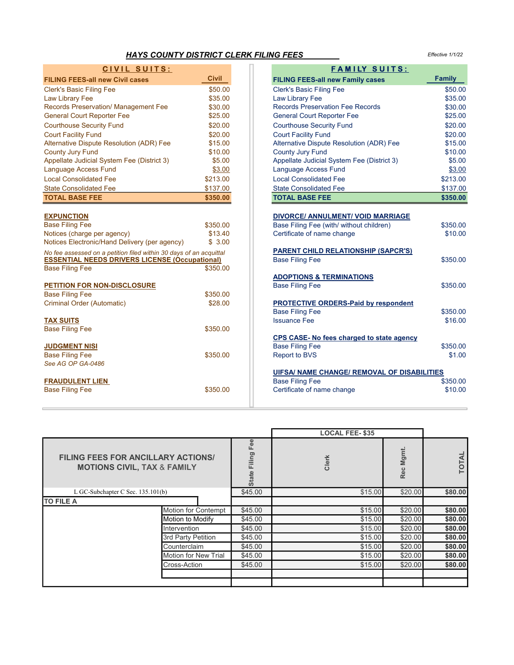## *HAYS* COUNTY DISTRICT CLERK FILING FEES

Effective 1/1/22

| CIVIL SUITS:                                                                                                                |                               | <b>FAMILY SUITS:</b>                                                                                               |                     |
|-----------------------------------------------------------------------------------------------------------------------------|-------------------------------|--------------------------------------------------------------------------------------------------------------------|---------------------|
| <b>FILING FEES-all new Civil cases</b>                                                                                      | <b>Civil</b>                  | <b>FILING FEES-all new Family cases</b>                                                                            | Family              |
| <b>Clerk's Basic Filing Fee</b>                                                                                             | \$50.00                       | <b>Clerk's Basic Filing Fee</b>                                                                                    | \$50.00             |
| Law Library Fee                                                                                                             | \$35.00                       | Law Library Fee                                                                                                    | \$35.00             |
| Records Preservation/ Management Fee                                                                                        | \$30.00                       | <b>Records Preservation Fee Records</b>                                                                            | \$30.00             |
| <b>General Court Reporter Fee</b>                                                                                           | \$25.00                       | <b>General Court Reporter Fee</b>                                                                                  | \$25.00             |
| <b>Courthouse Security Fund</b>                                                                                             | \$20.00                       | <b>Courthouse Security Fund</b>                                                                                    | \$20.00             |
| <b>Court Facility Fund</b>                                                                                                  | \$20.00                       | <b>Court Facility Fund</b>                                                                                         | \$20.00             |
| Alternative Dispute Resolution (ADR) Fee                                                                                    | \$15.00                       | Alternative Dispute Resolution (ADR) Fee                                                                           | \$15.00             |
| <b>County Jury Fund</b>                                                                                                     | \$10.00                       | <b>County Jury Fund</b>                                                                                            | \$10.00             |
| Appellate Judicial System Fee (District 3)                                                                                  | \$5.00                        | Appellate Judicial System Fee (District 3)                                                                         | \$5.00              |
| Language Access Fund                                                                                                        | \$3.00                        | Language Access Fund                                                                                               | \$3.00              |
| <b>Local Consolidated Fee</b>                                                                                               | \$213.00                      | <b>Local Consolidated Fee</b>                                                                                      | \$213.00            |
| <b>State Consolidated Fee</b>                                                                                               | \$137.00                      | <b>State Consolidated Fee</b>                                                                                      | \$137.00            |
| <b>TOTAL BASE FEE</b>                                                                                                       | \$350.00                      | <b>TOTAL BASE FEE</b>                                                                                              | \$350.00            |
| <b>EXPUNCTION</b><br><b>Base Filing Fee</b><br>Notices (charge per agency)                                                  | \$350.00<br>\$13.40<br>\$3.00 | <b>DIVORCE/ ANNULMENT/ VOID MARRIAGE</b><br>Base Filing Fee (with/ without children)<br>Certificate of name change | \$350.00<br>\$10.00 |
| Notices Electronic/Hand Delivery (per agency)                                                                               |                               |                                                                                                                    |                     |
| No fee assessed on a petition filed within 30 days of an acquittal<br><b>ESSENTIAL NEEDS DRIVERS LICENSE (Occupational)</b> |                               | <b>PARENT CHILD RELATIONSHIP (SAPCR'S)</b><br><b>Base Filing Fee</b>                                               | \$350.00            |
| <b>Base Filing Fee</b>                                                                                                      | \$350.00                      |                                                                                                                    |                     |
|                                                                                                                             |                               | <b>ADOPTIONS &amp; TERMINATIONS</b>                                                                                |                     |
| <b>PETITION FOR NON-DISCLOSURE</b>                                                                                          |                               | <b>Base Filing Fee</b>                                                                                             | \$350.00            |
| <b>Base Filing Fee</b>                                                                                                      | \$350.00                      |                                                                                                                    |                     |
| Criminal Order (Automatic)                                                                                                  | \$28.00                       | <b>PROTECTIVE ORDERS-Paid by respondent</b><br><b>Base Filing Fee</b>                                              | \$350.00            |
| <b>TAX SUITS</b>                                                                                                            |                               | <b>Issuance Fee</b>                                                                                                | \$16.00             |
| <b>Base Filing Fee</b>                                                                                                      | \$350.00                      |                                                                                                                    |                     |
|                                                                                                                             |                               | CPS CASE- No fees charged to state agency                                                                          |                     |
| <b>JUDGMENT NISI</b>                                                                                                        |                               | <b>Base Filing Fee</b>                                                                                             | \$350.00            |
| <b>Base Filing Fee</b>                                                                                                      | \$350.00                      | <b>Report to BVS</b>                                                                                               | \$1.00              |
| See AG OP GA-0486                                                                                                           |                               |                                                                                                                    |                     |
|                                                                                                                             |                               | <b>UIFSA/ NAME CHANGE/ REMOVAL OF DISABILITIES</b>                                                                 |                     |
| <b>FRAUDULENT LIEN</b>                                                                                                      |                               | <b>Base Filing Fee</b>                                                                                             | \$350.00            |
| <b>Base Filing Fee</b>                                                                                                      | \$350.00                      | Certificate of name change                                                                                         | \$10.00             |
|                                                                                                                             |                               |                                                                                                                    |                     |

 $\equiv$ 

|         | FAMILY SUITS:                               |                                                    |  |  |  |  |  |  |
|---------|---------------------------------------------|----------------------------------------------------|--|--|--|--|--|--|
| Civil   | <b>FILING FEES-all new Family cases</b>     | <b>Family</b>                                      |  |  |  |  |  |  |
| \$50.00 | <b>Clerk's Basic Filing Fee</b>             | \$50.00                                            |  |  |  |  |  |  |
| \$35.00 | Law Library Fee                             | \$35.00                                            |  |  |  |  |  |  |
| \$30.00 | <b>Records Preservation Fee Records</b>     | \$30.00                                            |  |  |  |  |  |  |
| \$25.00 | <b>General Court Reporter Fee</b>           | \$25.00                                            |  |  |  |  |  |  |
| \$20.00 | <b>Courthouse Security Fund</b>             | \$20.00                                            |  |  |  |  |  |  |
| \$20.00 | <b>Court Facility Fund</b>                  | \$20.00                                            |  |  |  |  |  |  |
| \$15.00 | Alternative Dispute Resolution (ADR) Fee    | \$15.00                                            |  |  |  |  |  |  |
| \$10.00 | <b>County Jury Fund</b>                     | \$10.00                                            |  |  |  |  |  |  |
| \$5.00  | Appellate Judicial System Fee (District 3)  | \$5.00                                             |  |  |  |  |  |  |
| \$3.00  | Language Access Fund                        | \$3.00                                             |  |  |  |  |  |  |
| 213.00  | <b>Local Consolidated Fee</b>               | \$213.00                                           |  |  |  |  |  |  |
| 137.00  | <b>State Consolidated Fee</b>               | \$137.00                                           |  |  |  |  |  |  |
| 350.00  | <b>TOTAL BASE FEE</b>                       | \$350.00                                           |  |  |  |  |  |  |
|         |                                             |                                                    |  |  |  |  |  |  |
|         | <b>DIVORCE/ ANNULMENT/ VOID MARRIAGE</b>    |                                                    |  |  |  |  |  |  |
| 350.00  | Base Filing Fee (with/ without children)    | \$350.00                                           |  |  |  |  |  |  |
| \$13.40 | Certificate of name change                  | \$10.00                                            |  |  |  |  |  |  |
| \$3.00  |                                             |                                                    |  |  |  |  |  |  |
| quittal | <b>PARENT CHILD RELATIONSHIP (SAPCR'S)</b>  |                                                    |  |  |  |  |  |  |
| nal)    | <b>Base Filing Fee</b>                      | \$350.00                                           |  |  |  |  |  |  |
| 350.00  |                                             |                                                    |  |  |  |  |  |  |
|         | <b>ADOPTIONS &amp; TERMINATIONS</b>         | \$350.00                                           |  |  |  |  |  |  |
| 350.00  | <b>Base Filing Fee</b>                      |                                                    |  |  |  |  |  |  |
| \$28.00 | <b>PROTECTIVE ORDERS-Paid by respondent</b> |                                                    |  |  |  |  |  |  |
|         | <b>Base Filing Fee</b>                      | \$350.00                                           |  |  |  |  |  |  |
|         | <b>Issuance Fee</b>                         | \$16.00                                            |  |  |  |  |  |  |
| 350.00  |                                             |                                                    |  |  |  |  |  |  |
|         | CPS CASE- No fees charged to state agency   |                                                    |  |  |  |  |  |  |
|         | <b>Base Filing Fee</b>                      | \$350.00                                           |  |  |  |  |  |  |
| 350.00  | <b>Report to BVS</b>                        | \$1.00                                             |  |  |  |  |  |  |
|         |                                             |                                                    |  |  |  |  |  |  |
|         |                                             | <b>UIFSA/ NAME CHANGE/ REMOVAL OF DISABILITIES</b> |  |  |  |  |  |  |
|         | <b>Base Filing Fee</b>                      | \$350.00                                           |  |  |  |  |  |  |
| 350.00  | Certificate of name change                  | \$10.00                                            |  |  |  |  |  |  |

|                                                                                     |                      |                                  | <b>LOCAL FEE-\$35</b> |              |         |  |
|-------------------------------------------------------------------------------------|----------------------|----------------------------------|-----------------------|--------------|---------|--|
| <b>FILING FEES FOR ANCILLARY ACTIONS/</b><br><b>MOTIONS CIVIL, TAX &amp; FAMILY</b> |                      | ee<br>lling<br>щ<br><b>State</b> | Clerk                 | Mgmt.<br>Rec | ◀<br>5  |  |
| L GC-Subchapter C Sec. $135.101(b)$                                                 |                      | \$45.00                          | \$15.00               | \$20.00      | \$80.00 |  |
| <b>TO FILE A</b>                                                                    |                      |                                  |                       |              |         |  |
|                                                                                     | Motion for Contempt  | \$45.00                          | \$15.00               | \$20.00      | \$80.00 |  |
|                                                                                     | Motion to Modify     | \$45.00                          | \$15.00               | \$20.00      | \$80.00 |  |
|                                                                                     | <b>Intervention</b>  | \$45.00                          | \$15.00               | \$20.00      | \$80.00 |  |
|                                                                                     | 3rd Party Petition   | \$45.00                          | \$15.00               | \$20.00      | \$80.00 |  |
|                                                                                     | Counterclaim         | \$45.00                          | \$15.00               | \$20.00      | \$80.00 |  |
|                                                                                     | Motion for New Trial | \$45.00                          | \$15.00               | \$20.00      | \$80.00 |  |
|                                                                                     | Cross-Action         | \$45.00                          | \$15.00               | \$20.00      | \$80.00 |  |
|                                                                                     |                      |                                  |                       |              |         |  |
|                                                                                     |                      |                                  |                       |              |         |  |